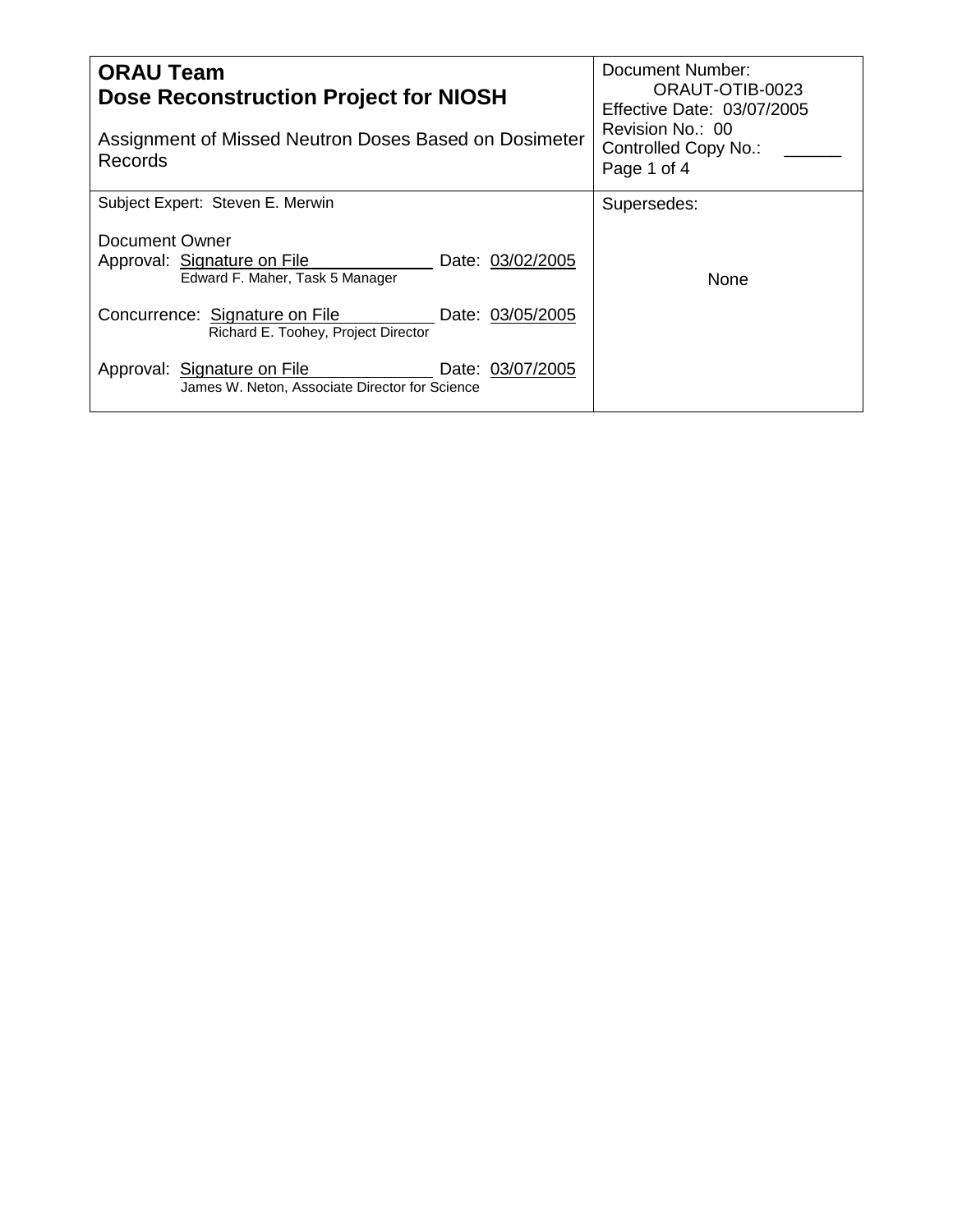| <b>ORAU Team</b><br><b>Dose Reconstruction Project for NIOSH</b><br>Assignment of Missed Neutron Doses Based on Dosimeter<br>Records | Document Number:<br>ORAUT-OTIB-0023<br>Effective Date: 03/07/2005<br>Revision No.: 00<br>Controlled Copy No.:<br>Page 1 of 4 |
|--------------------------------------------------------------------------------------------------------------------------------------|------------------------------------------------------------------------------------------------------------------------------|
| Subject Expert: Steven E. Merwin                                                                                                     | Supersedes:                                                                                                                  |
| Document Owner<br>Approval: Signature on File<br>Date: 03/02/2005<br>Edward F. Maher, Task 5 Manager                                 | None                                                                                                                         |
| Concurrence: Signature on File<br>Date: 03/05/2005<br>Richard E. Toohey, Project Director                                            |                                                                                                                              |
| Approval: Signature on File<br>Date: 03/07/2005<br>James W. Neton, Associate Director for Science                                    |                                                                                                                              |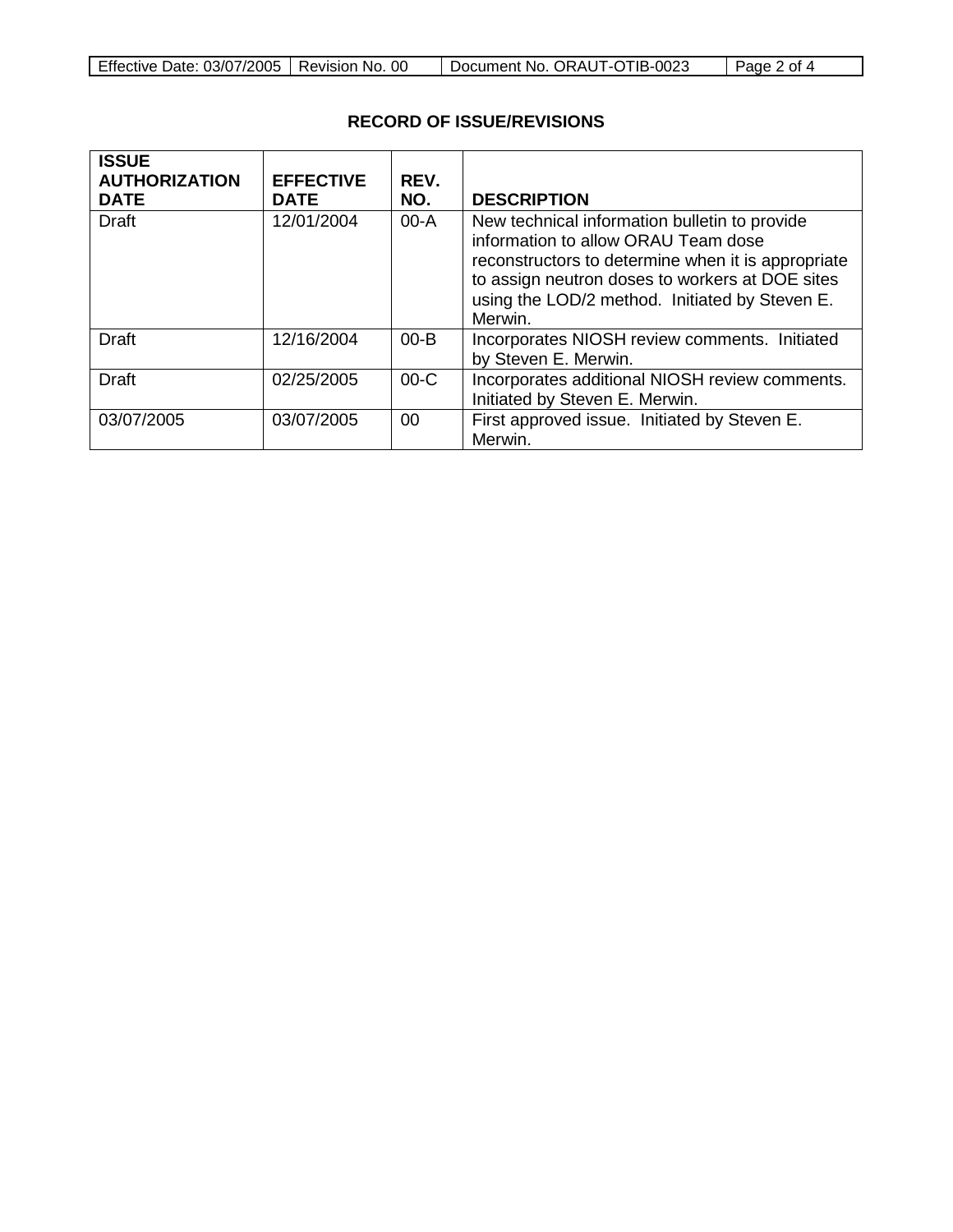| Effective Date: 03/07/2005   Revision No. 00 |  | Document No. ORAUT-OTIB-0023 | Page 2 of 4 |
|----------------------------------------------|--|------------------------------|-------------|
|----------------------------------------------|--|------------------------------|-------------|

# **RECORD OF ISSUE/REVISIONS**

| <b>ISSUE</b><br><b>AUTHORIZATION</b><br><b>DATE</b> | <b>EFFECTIVE</b><br><b>DATE</b> | REV.<br>NO. | <b>DESCRIPTION</b>                                                                                                                                                                                                                                         |
|-----------------------------------------------------|---------------------------------|-------------|------------------------------------------------------------------------------------------------------------------------------------------------------------------------------------------------------------------------------------------------------------|
| <b>Draft</b>                                        | 12/01/2004                      | $00-A$      | New technical information bulletin to provide<br>information to allow ORAU Team dose<br>reconstructors to determine when it is appropriate<br>to assign neutron doses to workers at DOE sites<br>using the LOD/2 method. Initiated by Steven E.<br>Merwin. |
| <b>Draft</b>                                        | 12/16/2004                      | $00 - B$    | Incorporates NIOSH review comments. Initiated<br>by Steven E. Merwin.                                                                                                                                                                                      |
| <b>Draft</b>                                        | 02/25/2005                      | $00-C$      | Incorporates additional NIOSH review comments.<br>Initiated by Steven E. Merwin.                                                                                                                                                                           |
| 03/07/2005                                          | 03/07/2005                      | 00          | First approved issue. Initiated by Steven E.<br>Merwin.                                                                                                                                                                                                    |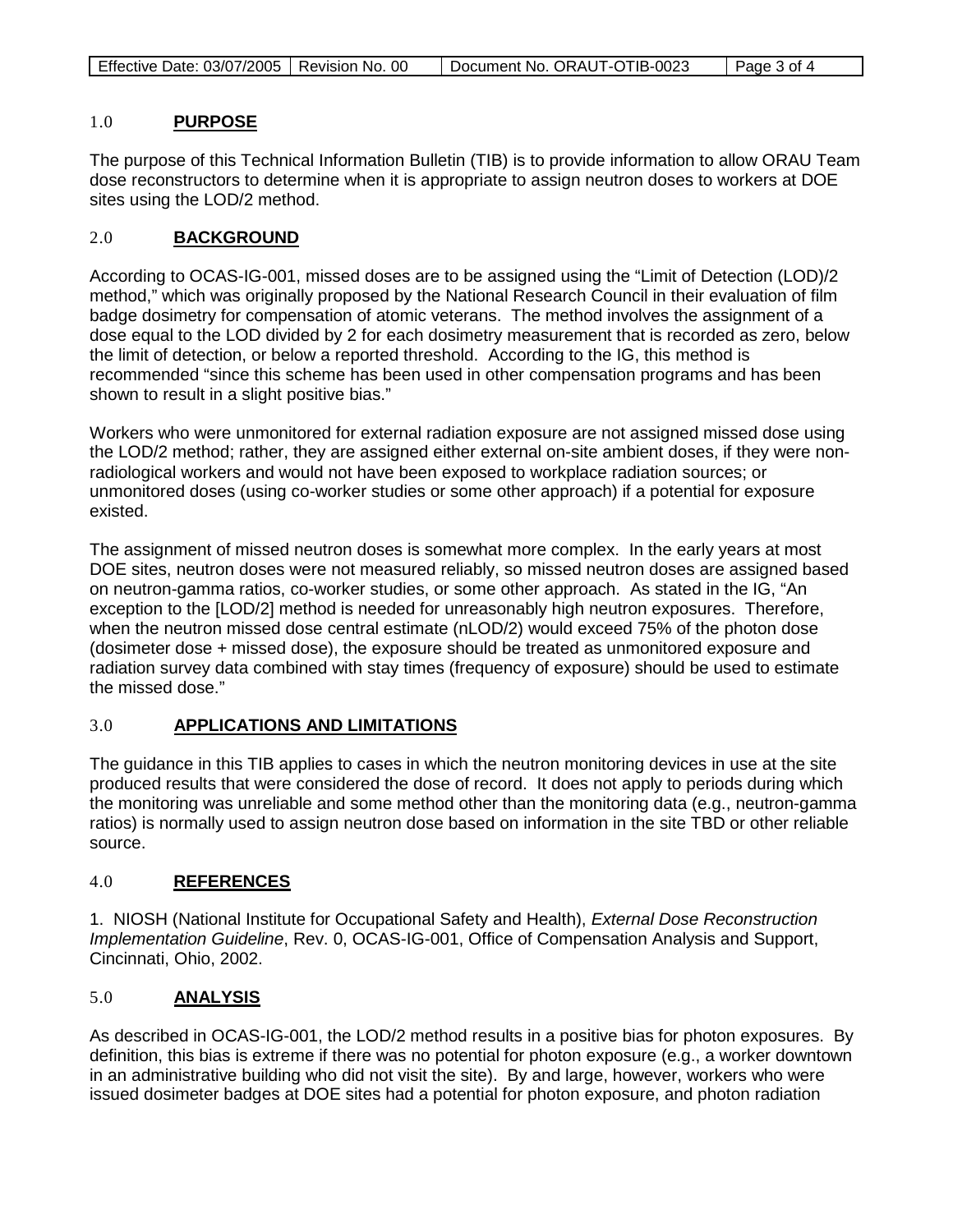| Effective Date: 03/07/2005   Revision No. 00<br>Document No. ORAUT-OTIB-0023<br>Page 3 of 4 |
|---------------------------------------------------------------------------------------------|
|---------------------------------------------------------------------------------------------|

### 1.0 **PURPOSE**

The purpose of this Technical Information Bulletin (TIB) is to provide information to allow ORAU Team dose reconstructors to determine when it is appropriate to assign neutron doses to workers at DOE sites using the LOD/2 method.

### 2.0 **BACKGROUND**

According to OCAS-IG-001, missed doses are to be assigned using the "Limit of Detection (LOD)/2 method," which was originally proposed by the National Research Council in their evaluation of film badge dosimetry for compensation of atomic veterans. The method involves the assignment of a dose equal to the LOD divided by 2 for each dosimetry measurement that is recorded as zero, below the limit of detection, or below a reported threshold. According to the IG, this method is recommended "since this scheme has been used in other compensation programs and has been shown to result in a slight positive bias."

Workers who were unmonitored for external radiation exposure are not assigned missed dose using the LOD/2 method; rather, they are assigned either external on-site ambient doses, if they were nonradiological workers and would not have been exposed to workplace radiation sources; or unmonitored doses (using co-worker studies or some other approach) if a potential for exposure existed.

The assignment of missed neutron doses is somewhat more complex. In the early years at most DOE sites, neutron doses were not measured reliably, so missed neutron doses are assigned based on neutron-gamma ratios, co-worker studies, or some other approach. As stated in the IG, "An exception to the [LOD/2] method is needed for unreasonably high neutron exposures. Therefore, when the neutron missed dose central estimate (nLOD/2) would exceed 75% of the photon dose (dosimeter dose + missed dose), the exposure should be treated as unmonitored exposure and radiation survey data combined with stay times (frequency of exposure) should be used to estimate the missed dose."

# 3.0 **APPLICATIONS AND LIMITATIONS**

The guidance in this TIB applies to cases in which the neutron monitoring devices in use at the site produced results that were considered the dose of record. It does not apply to periods during which the monitoring was unreliable and some method other than the monitoring data (e.g., neutron-gamma ratios) is normally used to assign neutron dose based on information in the site TBD or other reliable source.

# 4.0 **REFERENCES**

1. NIOSH (National Institute for Occupational Safety and Health), *External Dose Reconstruction Implementation Guideline*, Rev. 0, OCAS-IG-001, Office of Compensation Analysis and Support, Cincinnati, Ohio, 2002.

# 5.0 **ANALYSIS**

As described in OCAS-IG-001, the LOD/2 method results in a positive bias for photon exposures. By definition, this bias is extreme if there was no potential for photon exposure (e.g., a worker downtown in an administrative building who did not visit the site). By and large, however, workers who were issued dosimeter badges at DOE sites had a potential for photon exposure, and photon radiation